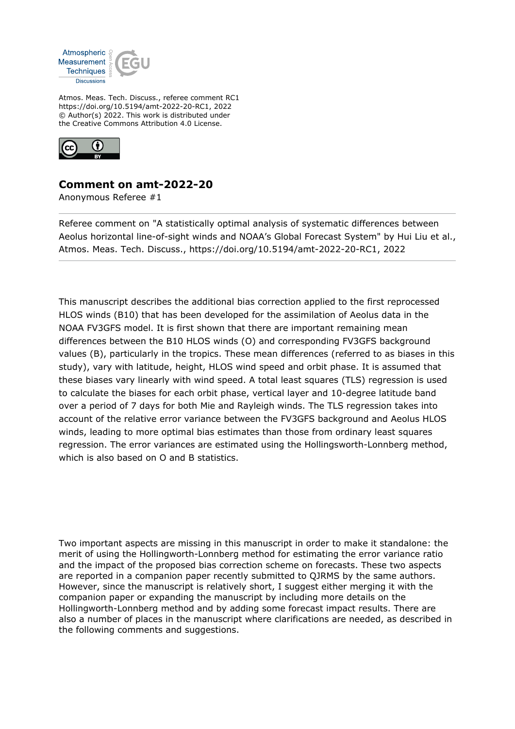

Atmos. Meas. Tech. Discuss., referee comment RC1 https://doi.org/10.5194/amt-2022-20-RC1, 2022 © Author(s) 2022. This work is distributed under the Creative Commons Attribution 4.0 License.



## **Comment on amt-2022-20**

Anonymous Referee #1

Referee comment on "A statistically optimal analysis of systematic differences between Aeolus horizontal line-of-sight winds and NOAA's Global Forecast System" by Hui Liu et al., Atmos. Meas. Tech. Discuss., https://doi.org/10.5194/amt-2022-20-RC1, 2022

This manuscript describes the additional bias correction applied to the first reprocessed HLOS winds (B10) that has been developed for the assimilation of Aeolus data in the NOAA FV3GFS model. It is first shown that there are important remaining mean differences between the B10 HLOS winds (O) and corresponding FV3GFS background values (B), particularly in the tropics. These mean differences (referred to as biases in this study), vary with latitude, height, HLOS wind speed and orbit phase. It is assumed that these biases vary linearly with wind speed. A total least squares (TLS) regression is used to calculate the biases for each orbit phase, vertical layer and 10-degree latitude band over a period of 7 days for both Mie and Rayleigh winds. The TLS regression takes into account of the relative error variance between the FV3GFS background and Aeolus HLOS winds, leading to more optimal bias estimates than those from ordinary least squares regression. The error variances are estimated using the Hollingsworth-Lonnberg method, which is also based on O and B statistics.

Two important aspects are missing in this manuscript in order to make it standalone: the merit of using the Hollingworth-Lonnberg method for estimating the error variance ratio and the impact of the proposed bias correction scheme on forecasts. These two aspects are reported in a companion paper recently submitted to QJRMS by the same authors. However, since the manuscript is relatively short, I suggest either merging it with the companion paper or expanding the manuscript by including more details on the Hollingworth-Lonnberg method and by adding some forecast impact results. There are also a number of places in the manuscript where clarifications are needed, as described in the following comments and suggestions.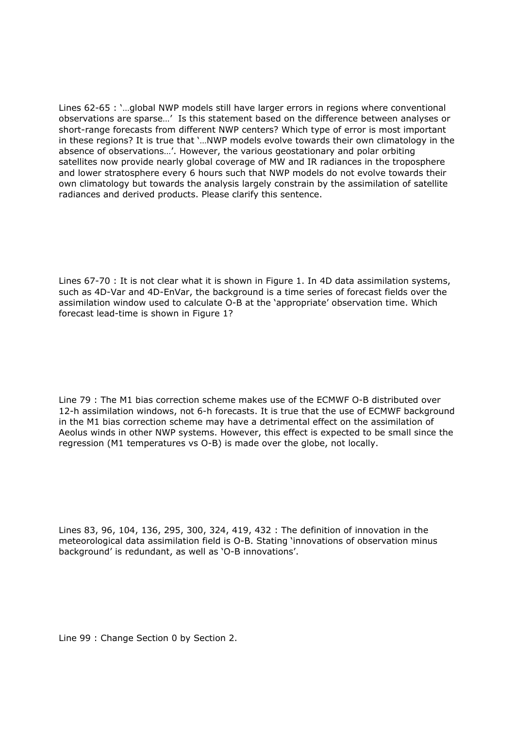Lines 62-65 : '…global NWP models still have larger errors in regions where conventional observations are sparse…' Is this statement based on the difference between analyses or short-range forecasts from different NWP centers? Which type of error is most important in these regions? It is true that '…NWP models evolve towards their own climatology in the absence of observations…'. However, the various geostationary and polar orbiting satellites now provide nearly global coverage of MW and IR radiances in the troposphere and lower stratosphere every 6 hours such that NWP models do not evolve towards their own climatology but towards the analysis largely constrain by the assimilation of satellite radiances and derived products. Please clarify this sentence.

Lines 67-70 : It is not clear what it is shown in Figure 1. In 4D data assimilation systems, such as 4D-Var and 4D-EnVar, the background is a time series of forecast fields over the assimilation window used to calculate O-B at the 'appropriate' observation time. Which forecast lead-time is shown in Figure 1?

Line 79 : The M1 bias correction scheme makes use of the ECMWF O-B distributed over 12-h assimilation windows, not 6-h forecasts. It is true that the use of ECMWF background in the M1 bias correction scheme may have a detrimental effect on the assimilation of Aeolus winds in other NWP systems. However, this effect is expected to be small since the regression (M1 temperatures vs O-B) is made over the globe, not locally.

Lines 83, 96, 104, 136, 295, 300, 324, 419, 432 : The definition of innovation in the meteorological data assimilation field is O-B. Stating 'innovations of observation minus background' is redundant, as well as 'O-B innovations'.

Line 99 : Change Section 0 by Section 2.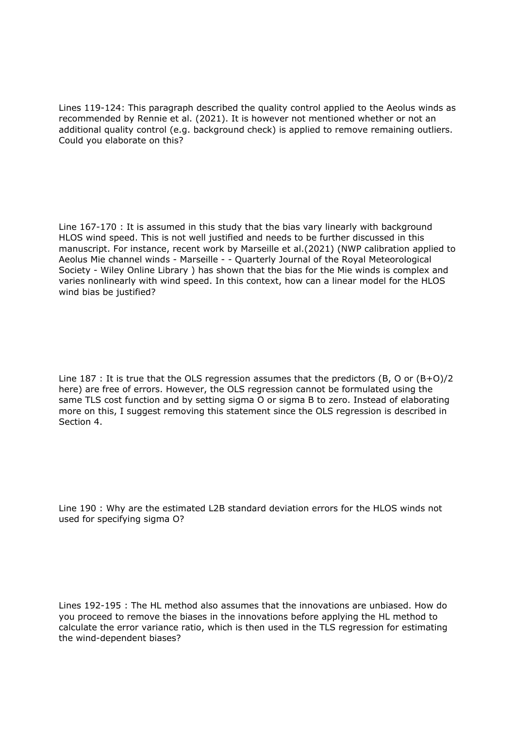Lines 119-124: This paragraph described the quality control applied to the Aeolus winds as recommended by Rennie et al. (2021). It is however not mentioned whether or not an additional quality control (e.g. background check) is applied to remove remaining outliers. Could you elaborate on this?

Line 167-170 : It is assumed in this study that the bias vary linearly with background HLOS wind speed. This is not well justified and needs to be further discussed in this manuscript. For instance, recent work by Marseille et al.(2021) (NWP calibration applied to Aeolus Mie channel winds - Marseille - - Quarterly Journal of the Royal Meteorological Society - Wiley Online Library ) has shown that the bias for the Mie winds is complex and varies nonlinearly with wind speed. In this context, how can a linear model for the HLOS wind bias be justified?

Line 187 : It is true that the OLS regression assumes that the predictors (B, O or (B+O)/2 here) are free of errors. However, the OLS regression cannot be formulated using the same TLS cost function and by setting sigma O or sigma B to zero. Instead of elaborating more on this, I suggest removing this statement since the OLS regression is described in Section 4.

Line 190 : Why are the estimated L2B standard deviation errors for the HLOS winds not used for specifying sigma O?

Lines 192-195 : The HL method also assumes that the innovations are unbiased. How do you proceed to remove the biases in the innovations before applying the HL method to calculate the error variance ratio, which is then used in the TLS regression for estimating the wind-dependent biases?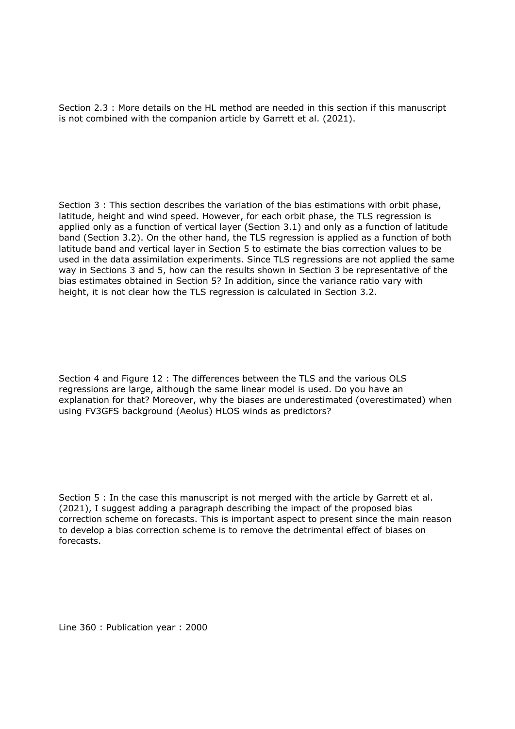Section 2.3 : More details on the HL method are needed in this section if this manuscript is not combined with the companion article by Garrett et al. (2021).

Section 3 : This section describes the variation of the bias estimations with orbit phase, latitude, height and wind speed. However, for each orbit phase, the TLS regression is applied only as a function of vertical layer (Section 3.1) and only as a function of latitude band (Section 3.2). On the other hand, the TLS regression is applied as a function of both latitude band and vertical layer in Section 5 to estimate the bias correction values to be used in the data assimilation experiments. Since TLS regressions are not applied the same way in Sections 3 and 5, how can the results shown in Section 3 be representative of the bias estimates obtained in Section 5? In addition, since the variance ratio vary with height, it is not clear how the TLS regression is calculated in Section 3.2.

Section 4 and Figure 12 : The differences between the TLS and the various OLS regressions are large, although the same linear model is used. Do you have an explanation for that? Moreover, why the biases are underestimated (overestimated) when using FV3GFS background (Aeolus) HLOS winds as predictors?

Section 5 : In the case this manuscript is not merged with the article by Garrett et al. (2021), I suggest adding a paragraph describing the impact of the proposed bias correction scheme on forecasts. This is important aspect to present since the main reason to develop a bias correction scheme is to remove the detrimental effect of biases on forecasts.

Line 360 : Publication year : 2000